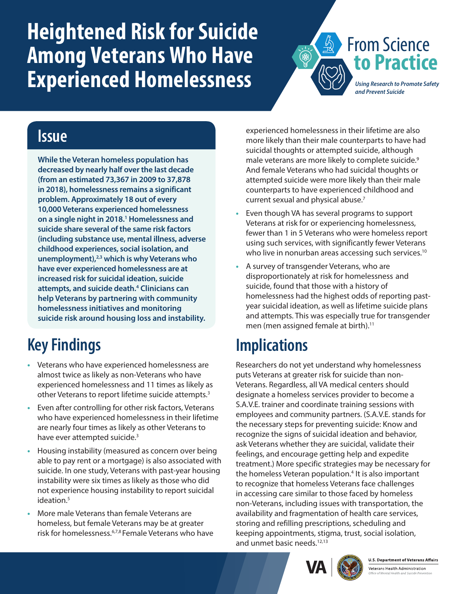# <span id="page-0-0"></span>**Heightened Risk for Suicide Among Veterans Who Have Experienced Homelessness**

*Using Research to Promote Safety and Prevent Suicide*

**to Practice**

From Science

#### **Issue**

**While the Veteran homeless population has decreased by nearly half over the last decade (from an estimated 73,367 in 2009 to 37,878 in 2018), homelessness remains a significant problem. Approximately 18 out of every 10,000 Veterans experienced homelessness on a single night in 2018[.1](#page-1-0) Homelessness and suicide share several of the same risk factors (including substance use, mental illness, adverse childhood experiences, social isolation, and unemployment)[,2,3](#page-1-0) which is why Veterans who have ever experienced homelessness are at increased risk for suicidal ideation, suicide attempts, and suicide death.[4](#page-1-0) Clinicians can help Veterans by partnering with community homelessness initiatives and monitoring suicide risk around housing loss and instability.** 

# **Key Findings**

- **•** Veterans who have experienced homelessness are almost twice as likely as non-Veterans who have experienced homelessness and 11 times as likely as other Veterans to report lifetime suicide attempts.<sup>[3](#page-1-1)</sup>
- **•** Even after controlling for other risk factors, Veterans who have experienced homelessness in their lifetime are nearly four times as likely as other Veterans to have ever attempted suicide.<sup>[3](#page-1-1)</sup>
- **•** Housing instability (measured as concern over being able to pay rent or a mortgage) is also associated with suicide. In one study, Veterans with past-year housing instability were six times as likely as those who did not experience housing instability to report suicidal ideation.<sup>5</sup>
- **•** More male Veterans than female Veterans are homeless, but female Veterans may be at greater risk for homelessness[.6,7,8](#page-1-0) Female Veterans who have

experienced homelessness in their lifetime are also more likely than their male counterparts to have had suicidal thoughts or attempted suicide, although male veterans are more likely to complete suicide.<sup>[9](#page-1-0)</sup> And female Veterans who had suicidal thoughts or attempted suicide were more likely than their male counterparts to have experienced childhood and current sexual and physical abuse.<sup>7</sup>

- **•** Even though VA has several programs to support Veterans at risk for or experiencing homelessness, fewer than 1 in 5 Veterans who were homeless report using such services, with significantly fewer Veterans who live in nonurban areas accessing such services.<sup>[10](#page-1-0)</sup>
- **•** A survey of transgender Veterans, who are disproportionately at risk for homelessness and suicide, found that those with a history of homelessness had the highest odds of reporting pastyear suicidal ideation, as well as lifetime suicide plans and attempts. This was especially true for transgender men (men assigned female at birth).<sup>11</sup>

## **Implications**

Researchers do not yet understand why homelessness puts Veterans at greater risk for suicide than non-Veterans. Regardless, all VA medical centers should designate a homeless services provider to become a S.A.V.E. trainer and coordinate training sessions with employees and community partners. (S.A.V.E. stands for the necessary steps for preventing suicide: Know and recognize the signs of suicidal ideation and behavior, ask Veterans whether they are suicidal, validate their feelings, and encourage getting help and expedite treatment.) More specific strategies may be necessary for the homeless Veteran population.<sup>[4](#page-1-3)</sup> It is also important to recognize that homeless Veterans face challenges in accessing care similar to those faced by homeless non-Veterans, including issues with transportation, the availability and fragmentation of health care services, storing and refilling prescriptions, scheduling and keeping appointments, stigma, trust, social isolation, and unmet basic needs.<sup>12,13</sup>



**U.S. Department of Veterans Affairs** Veterans Health Administration